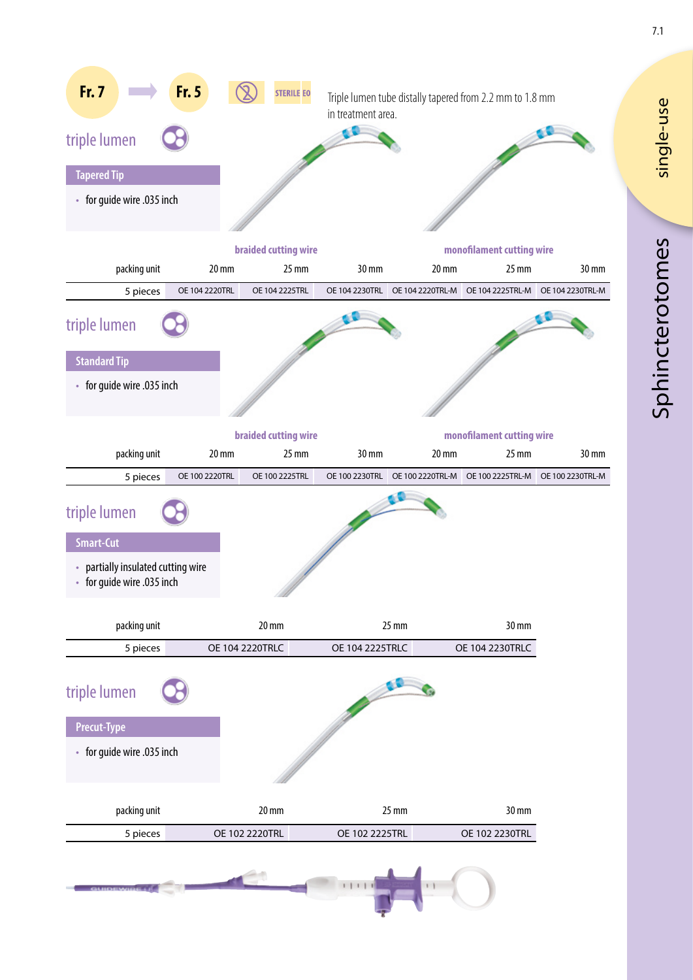

single-use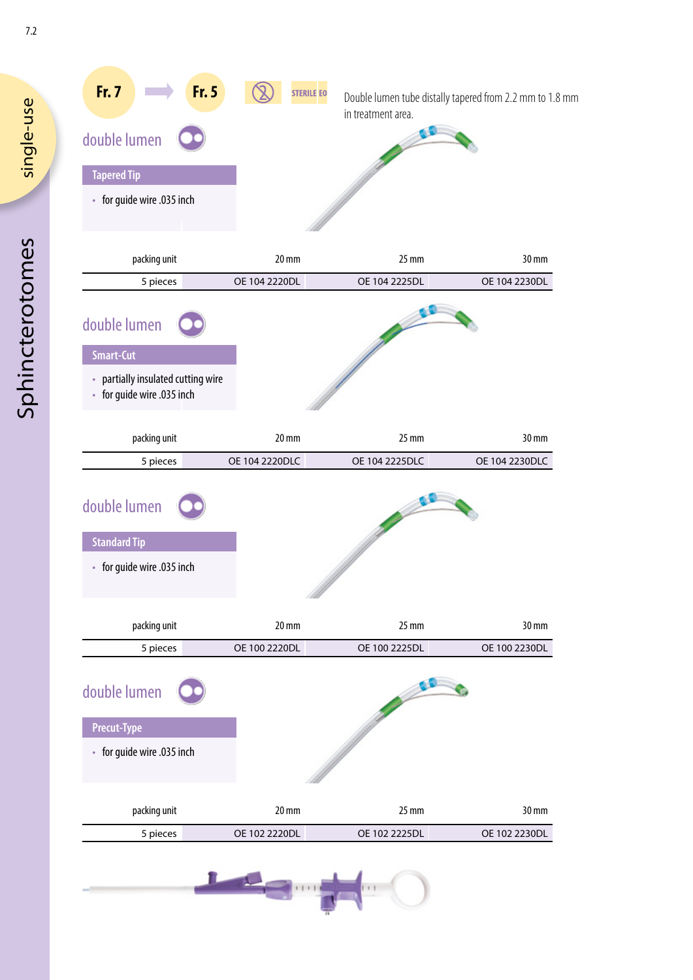| <b>Fr. 7</b><br>Fr. 5<br>double lumen<br><b>Tapered Tip</b><br>• for guide wire .035 inch            |                                    | in treatment area.     | Double lumen tube distally tapered from 2.2 mm to 1.8 mm |
|------------------------------------------------------------------------------------------------------|------------------------------------|------------------------|----------------------------------------------------------|
|                                                                                                      |                                    |                        |                                                          |
| packing unit<br>5 pieces                                                                             | $20 \, \text{mm}$<br>OE 104 2220DL | 25 mm<br>OE 104 2225DL | 30 mm<br>OE 104 2230DL                                   |
| double lumen<br><b>Smart-Cut</b><br>• partially insulated cutting wire<br>• for guide wire .035 inch |                                    |                        |                                                          |
| packing unit                                                                                         | 20 mm                              | 25 mm                  | 30 mm                                                    |
| 5 pieces                                                                                             | OE 104 2220DLC                     | OE 104 2225DLC         | OE 104 2230DLC                                           |
| double lumen<br><b>Standard Tip</b><br>• for guide wire .035 inch                                    |                                    |                        |                                                          |
| packing unit                                                                                         | 20 mm                              | $25 \text{ mm}$        | 30 mm                                                    |
| 5 pieces                                                                                             | OE 100 2220DL                      | OE 100 2225DL          | OE 100 2230DL                                            |
| double lumen<br><b>Precut-Type</b><br>• for guide wire .035 inch                                     |                                    |                        |                                                          |
| packing unit                                                                                         | 20 mm                              | $25 \text{ mm}$        | 30 mm                                                    |
| 5 pieces                                                                                             | OE 102 2220DL                      | OE 102 2225DL          | OE 102 2230DL                                            |

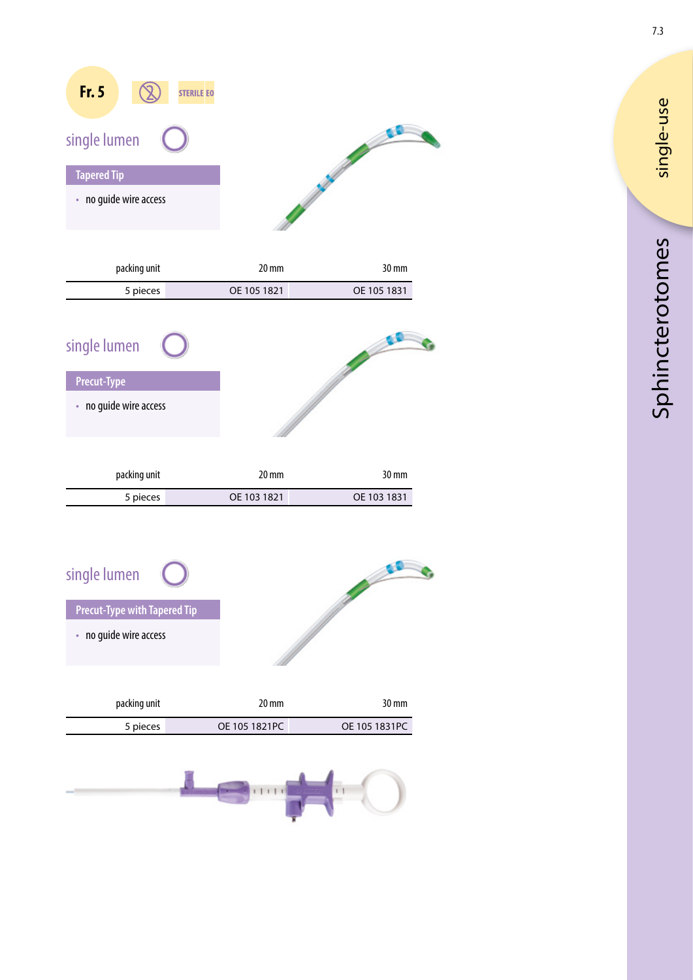| Fr. 5<br><b>STERILE EO</b><br>single lumen |  |
|--------------------------------------------|--|
| <b>Tapered Tip</b>                         |  |
| • no guide wire access                     |  |

| packing unit | 20 mm       | $30 \,\mathrm{mm}$ |
|--------------|-------------|--------------------|
| 5 pieces     | OE 105 1821 | OE 105 1831        |

| single lumen           |             |             |
|------------------------|-------------|-------------|
| <b>Precut-Type</b>     |             |             |
| • no guide wire access |             |             |
| packing unit           | 20 mm       | 30 mm       |
| 5 pieces               | OE 103 1821 | OE 103 1831 |

| single lumen                        |  |
|-------------------------------------|--|
| <b>Precut-Type with Tapered Tip</b> |  |
| • no guide wire access              |  |
|                                     |  |

| packing unit | 20 mm         | 30 mm         |
|--------------|---------------|---------------|
| 5 pieces     | OE 105 1821PC | OE 105 1831PC |



7.3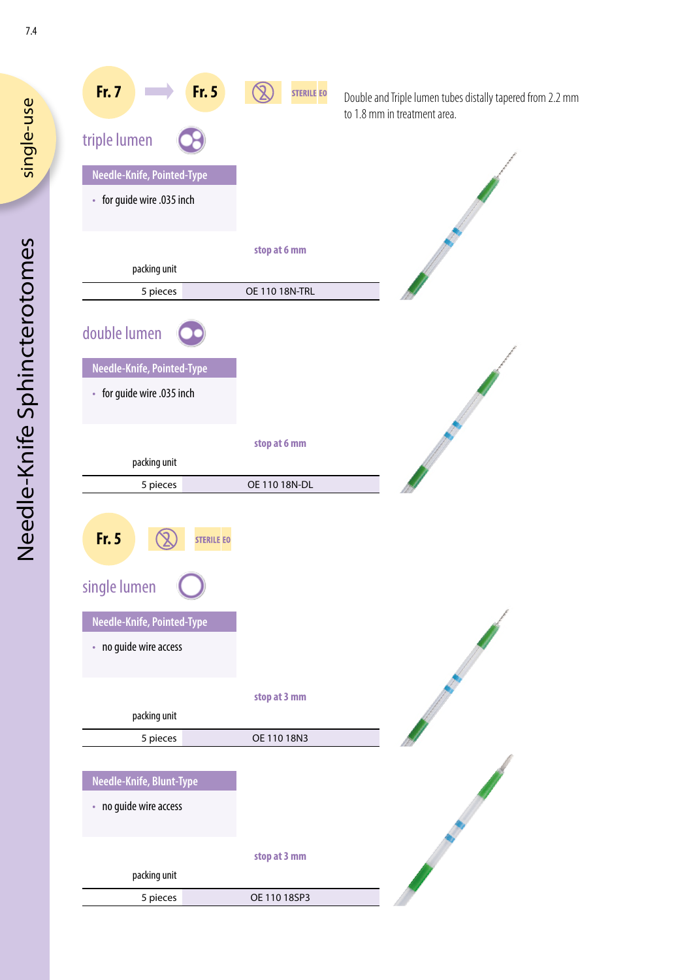

single-use